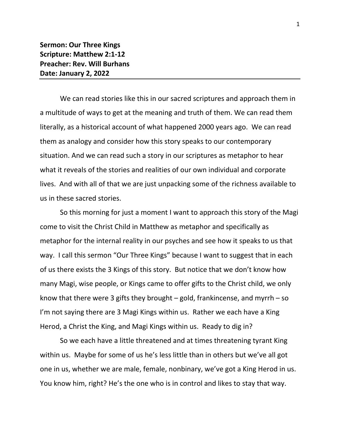We can read stories like this in our sacred scriptures and approach them in a multitude of ways to get at the meaning and truth of them. We can read them literally, as a historical account of what happened 2000 years ago. We can read them as analogy and consider how this story speaks to our contemporary situation. And we can read such a story in our scriptures as metaphor to hear what it reveals of the stories and realities of our own individual and corporate lives. And with all of that we are just unpacking some of the richness available to us in these sacred stories.

So this morning for just a moment I want to approach this story of the Magi come to visit the Christ Child in Matthew as metaphor and specifically as metaphor for the internal reality in our psyches and see how it speaks to us that way. I call this sermon "Our Three Kings" because I want to suggest that in each of us there exists the 3 Kings of this story. But notice that we don't know how many Magi, wise people, or Kings came to offer gifts to the Christ child, we only know that there were 3 gifts they brought – gold, frankincense, and myrrh – so I'm not saying there are 3 Magi Kings within us. Rather we each have a King Herod, a Christ the King, and Magi Kings within us. Ready to dig in?

So we each have a little threatened and at times threatening tyrant King within us. Maybe for some of us he's less little than in others but we've all got one in us, whether we are male, female, nonbinary, we've got a King Herod in us. You know him, right? He's the one who is in control and likes to stay that way.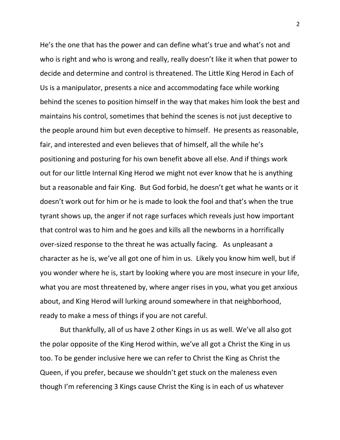He's the one that has the power and can define what's true and what's not and who is right and who is wrong and really, really doesn't like it when that power to decide and determine and control is threatened. The Little King Herod in Each of Us is a manipulator, presents a nice and accommodating face while working behind the scenes to position himself in the way that makes him look the best and maintains his control, sometimes that behind the scenes is not just deceptive to the people around him but even deceptive to himself. He presents as reasonable, fair, and interested and even believes that of himself, all the while he's positioning and posturing for his own benefit above all else. And if things work out for our little Internal King Herod we might not ever know that he is anything but a reasonable and fair King. But God forbid, he doesn't get what he wants or it doesn't work out for him or he is made to look the fool and that's when the true tyrant shows up, the anger if not rage surfaces which reveals just how important that control was to him and he goes and kills all the newborns in a horrifically over-sized response to the threat he was actually facing. As unpleasant a character as he is, we've all got one of him in us. Likely you know him well, but if you wonder where he is, start by looking where you are most insecure in your life, what you are most threatened by, where anger rises in you, what you get anxious about, and King Herod will lurking around somewhere in that neighborhood, ready to make a mess of things if you are not careful.

But thankfully, all of us have 2 other Kings in us as well. We've all also got the polar opposite of the King Herod within, we've all got a Christ the King in us too. To be gender inclusive here we can refer to Christ the King as Christ the Queen, if you prefer, because we shouldn't get stuck on the maleness even though I'm referencing 3 Kings cause Christ the King is in each of us whatever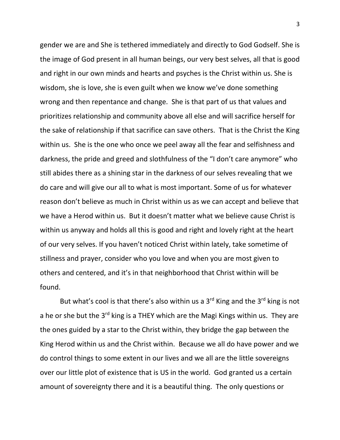gender we are and She is tethered immediately and directly to God Godself. She is the image of God present in all human beings, our very best selves, all that is good and right in our own minds and hearts and psyches is the Christ within us. She is wisdom, she is love, she is even guilt when we know we've done something wrong and then repentance and change. She is that part of us that values and prioritizes relationship and community above all else and will sacrifice herself for the sake of relationship if that sacrifice can save others. That is the Christ the King within us. She is the one who once we peel away all the fear and selfishness and darkness, the pride and greed and slothfulness of the "I don't care anymore" who still abides there as a shining star in the darkness of our selves revealing that we do care and will give our all to what is most important. Some of us for whatever reason don't believe as much in Christ within us as we can accept and believe that we have a Herod within us. But it doesn't matter what we believe cause Christ is within us anyway and holds all this is good and right and lovely right at the heart of our very selves. If you haven't noticed Christ within lately, take sometime of stillness and prayer, consider who you love and when you are most given to others and centered, and it's in that neighborhood that Christ within will be found.

But what's cool is that there's also within us a  $3<sup>rd</sup>$  King and the  $3<sup>rd</sup>$  king is not a he or she but the 3<sup>rd</sup> king is a THEY which are the Magi Kings within us. They are the ones guided by a star to the Christ within, they bridge the gap between the King Herod within us and the Christ within. Because we all do have power and we do control things to some extent in our lives and we all are the little sovereigns over our little plot of existence that is US in the world. God granted us a certain amount of sovereignty there and it is a beautiful thing. The only questions or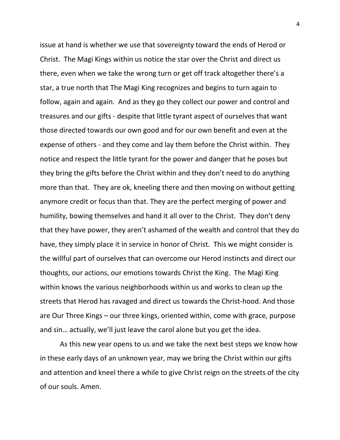issue at hand is whether we use that sovereignty toward the ends of Herod or Christ. The Magi Kings within us notice the star over the Christ and direct us there, even when we take the wrong turn or get off track altogether there's a star, a true north that The Magi King recognizes and begins to turn again to follow, again and again. And as they go they collect our power and control and treasures and our gifts - despite that little tyrant aspect of ourselves that want those directed towards our own good and for our own benefit and even at the expense of others - and they come and lay them before the Christ within. They notice and respect the little tyrant for the power and danger that he poses but they bring the gifts before the Christ within and they don't need to do anything more than that. They are ok, kneeling there and then moving on without getting anymore credit or focus than that. They are the perfect merging of power and humility, bowing themselves and hand it all over to the Christ. They don't deny that they have power, they aren't ashamed of the wealth and control that they do have, they simply place it in service in honor of Christ. This we might consider is the willful part of ourselves that can overcome our Herod instincts and direct our thoughts, our actions, our emotions towards Christ the King. The Magi King within knows the various neighborhoods within us and works to clean up the streets that Herod has ravaged and direct us towards the Christ-hood. And those are Our Three Kings – our three kings, oriented within, come with grace, purpose and sin… actually, we'll just leave the carol alone but you get the idea.

As this new year opens to us and we take the next best steps we know how in these early days of an unknown year, may we bring the Christ within our gifts and attention and kneel there a while to give Christ reign on the streets of the city of our souls. Amen.